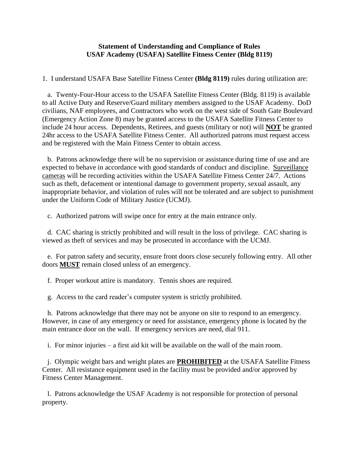## **Statement of Understanding and Compliance of Rules USAF Academy (USAFA) Satellite Fitness Center (Bldg 8119)**

1. I understand USAFA Base Satellite Fitness Center **(Bldg 8119)** rules during utilization are:

 a. Twenty-Four-Hour access to the USAFA Satellite Fitness Center (Bldg. 8119) is available to all Active Duty and Reserve/Guard military members assigned to the USAF Academy. DoD civilians, NAF employees, and Contractors who work on the west side of South Gate Boulevard (Emergency Action Zone 8) may be granted access to the USAFA Satellite Fitness Center to include 24 hour access. Dependents, Retirees, and guests (military or not) will **NOT** be granted 24hr access to the USAFA Satellite Fitness Center. All authorized patrons must request access and be registered with the Main Fitness Center to obtain access.

 b. Patrons acknowledge there will be no supervision or assistance during time of use and are expected to behave in accordance with good standards of conduct and discipline. Surveillance cameras will be recording activities within the USAFA Satellite Fitness Center 24/7. Actions such as theft, defacement or intentional damage to government property, sexual assault, any inappropriate behavior, and violation of rules will not be tolerated and are subject to punishment under the Uniform Code of Military Justice (UCMJ).

c. Authorized patrons will swipe once for entry at the main entrance only.

 d. CAC sharing is strictly prohibited and will result in the loss of privilege. CAC sharing is viewed as theft of services and may be prosecuted in accordance with the UCMJ.

 e. For patron safety and security, ensure front doors close securely following entry. All other doors **MUST** remain closed unless of an emergency.

f. Proper workout attire is mandatory. Tennis shoes are required.

g. Access to the card reader's computer system is strictly prohibited.

 h. Patrons acknowledge that there may not be anyone on site to respond to an emergency. However, in case of any emergency or need for assistance, emergency phone is located by the main entrance door on the wall. If emergency services are need, dial 911.

i. For minor injuries – a first aid kit will be available on the wall of the main room.

 j. Olympic weight bars and weight plates are **PROHIBITED** at the USAFA Satellite Fitness Center. All resistance equipment used in the facility must be provided and/or approved by Fitness Center Management.

 l. Patrons acknowledge the USAF Academy is not responsible for protection of personal property.